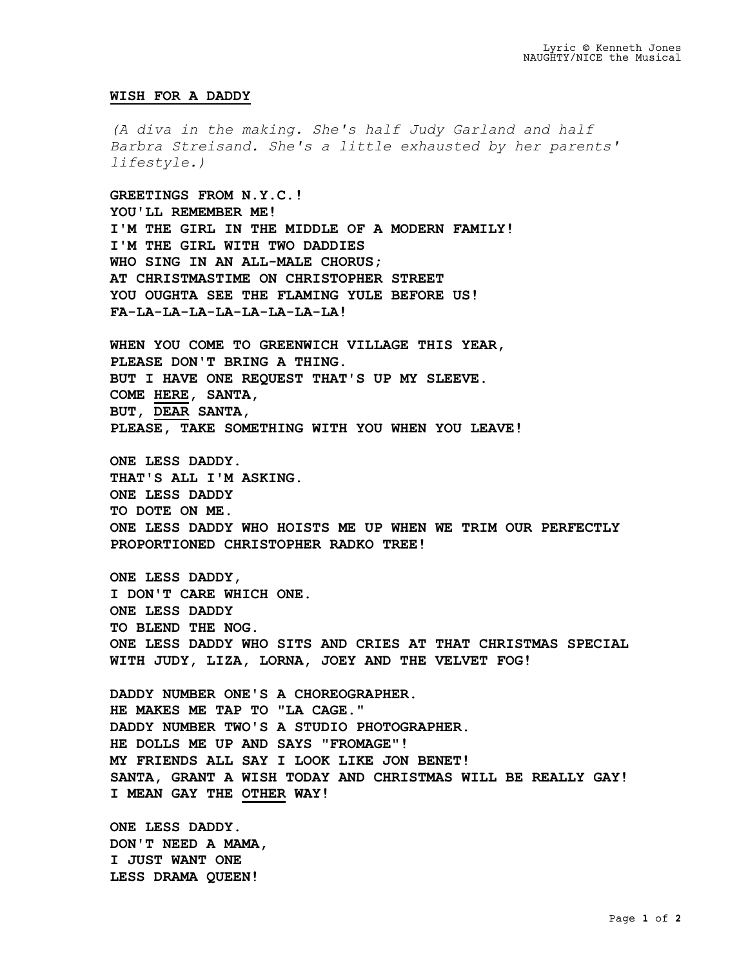## **WISH FOR A DADDY**

*(A diva in the making. She's half Judy Garland and half Barbra Streisand. She's a little exhausted by her parents' lifestyle.)*

**GREETINGS FROM N.Y.C.! YOU'LL REMEMBER ME! I'M THE GIRL IN THE MIDDLE OF A MODERN FAMILY! I'M THE GIRL WITH TWO DADDIES WHO SING IN AN ALL-MALE CHORUS; AT CHRISTMASTIME ON CHRISTOPHER STREET YOU OUGHTA SEE THE FLAMING YULE BEFORE US! FA-LA-LA-LA-LA-LA-LA-LA-LA!** 

**WHEN YOU COME TO GREENWICH VILLAGE THIS YEAR, PLEASE DON'T BRING A THING. BUT I HAVE ONE REQUEST THAT'S UP MY SLEEVE. COME HERE, SANTA, BUT, DEAR SANTA, PLEASE, TAKE SOMETHING WITH YOU WHEN YOU LEAVE!**

**ONE LESS DADDY. THAT'S ALL I'M ASKING. ONE LESS DADDY TO DOTE ON ME. ONE LESS DADDY WHO HOISTS ME UP WHEN WE TRIM OUR PERFECTLY PROPORTIONED CHRISTOPHER RADKO TREE!**

**ONE LESS DADDY, I DON'T CARE WHICH ONE. ONE LESS DADDY TO BLEND THE NOG. ONE LESS DADDY WHO SITS AND CRIES AT THAT CHRISTMAS SPECIAL WITH JUDY, LIZA, LORNA, JOEY AND THE VELVET FOG!**

**DADDY NUMBER ONE'S A CHOREOGRAPHER. HE MAKES ME TAP TO "LA CAGE." DADDY NUMBER TWO'S A STUDIO PHOTOGRAPHER. HE DOLLS ME UP AND SAYS "FROMAGE"! MY FRIENDS ALL SAY I LOOK LIKE JON BENET! SANTA, GRANT A WISH TODAY AND CHRISTMAS WILL BE REALLY GAY! I MEAN GAY THE OTHER WAY!**

**ONE LESS DADDY. DON'T NEED A MAMA, I JUST WANT ONE LESS DRAMA QUEEN!**